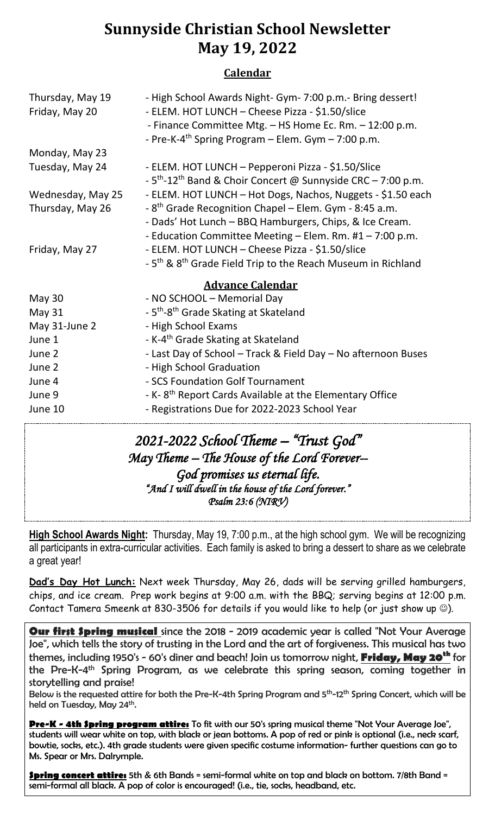# **Sunnyside Christian School Newsletter May 19, 2022**

### **Calendar**

| Thursday, May 19<br>Friday, May 20 | - High School Awards Night- Gym- 7:00 p.m.- Bring dessert!<br>- ELEM. HOT LUNCH - Cheese Pizza - \$1.50/slice<br>- Finance Committee Mtg. - HS Home Ec. Rm. - 12:00 p.m.<br>- Pre-K-4 <sup>th</sup> Spring Program – Elem. Gym – 7:00 p.m. |
|------------------------------------|--------------------------------------------------------------------------------------------------------------------------------------------------------------------------------------------------------------------------------------------|
| Monday, May 23                     |                                                                                                                                                                                                                                            |
| Tuesday, May 24                    | - ELEM. HOT LUNCH - Pepperoni Pizza - \$1.50/Slice<br>$-5$ <sup>th</sup> -12 <sup>th</sup> Band & Choir Concert @ Sunnyside CRC - 7:00 p.m.                                                                                                |
| Wednesday, May 25                  | - ELEM. HOT LUNCH - Hot Dogs, Nachos, Nuggets - \$1.50 each                                                                                                                                                                                |
| Thursday, May 26                   | - 8 <sup>th</sup> Grade Recognition Chapel – Elem. Gym - 8:45 a.m.<br>- Dads' Hot Lunch - BBQ Hamburgers, Chips, & Ice Cream.<br>- Education Committee Meeting - Elem. Rm. #1 - 7:00 p.m.                                                  |
| Friday, May 27                     | - ELEM. HOT LUNCH - Cheese Pizza - \$1.50/slice<br>- 5 <sup>th</sup> & 8 <sup>th</sup> Grade Field Trip to the Reach Museum in Richland                                                                                                    |
| <b>Advance Calendar</b>            |                                                                                                                                                                                                                                            |
| May 30                             | - NO SCHOOL - Memorial Day                                                                                                                                                                                                                 |
| May 31                             | - 5 <sup>th</sup> -8 <sup>th</sup> Grade Skating at Skateland                                                                                                                                                                              |
| May 31-June 2                      | - High School Exams                                                                                                                                                                                                                        |
| June 1                             | - K-4 <sup>th</sup> Grade Skating at Skateland                                                                                                                                                                                             |
| June 2                             | - Last Day of School - Track & Field Day - No afternoon Buses                                                                                                                                                                              |
| June 2                             | - High School Graduation                                                                                                                                                                                                                   |
| June 4                             | - SCS Foundation Golf Tournament                                                                                                                                                                                                           |
| June 9                             | - K-8 <sup>th</sup> Report Cards Available at the Elementary Office                                                                                                                                                                        |
| June 10                            | - Registrations Due for 2022-2023 School Year                                                                                                                                                                                              |

### *2021-2022 School Theme – "Trust God" May Theme – The House of the Lord Forever-- God promises us eternal life. "And I will dwell in the house of the Lord forever." Psalm 23:6 (NIRV)*

**High School Awards Night:** Thursday, May 19, 7:00 p.m., at the high school gym. We will be recognizing all participants in extra-curricular activities. Each family is asked to bring a dessert to share as we celebrate a great year!

**Dad's Day Hot Lunch:** Next week Thursday, May 26, dads will be serving grilled hamburgers, chips, and ice cream. Prep work begins at 9:00 a.m. with the BBQ; serving begins at 12:00 p.m. Contact Tamera Smeenk at 830-3506 for details if you would like to help (or just show up ☺).

**Our first Spring musical** since the 2018 - 2019 academic year is called "Not Your Average Joe", which tells the story of trusting in the Lord and the art of forgiveness. This musical has two themes, including 1950's - 60's diner and beach! Join us tomorrow night, **Friday, May 20th** for the Pre-K-4<sup>th</sup> Spring Program, as we celebrate this spring season, coming together in storytelling and praise!

Below is the requested attire for both the Pre-K-4th Spring Program and 5<sup>th</sup>-12<sup>th</sup> Spring Concert, which will be held on Tuesday, May 24<sup>th</sup>.

**Pre-K - 4th Spring program attire:** To fit with our 50's spring musical theme "Not Your Average Joe", students will wear white on top, with black or jean bottoms. A pop of red or pink is optional (i.e., neck scarf, bowtie, socks, etc.). 4th grade students were given specific costume information- further questions can go to Ms. Spear or Mrs. Dalrymple.

**Spring concert attire:** 5th & 6th Bands = semi-formal white on top and black on bottom. 7/8th Band = semi-formal all black. A pop of color is encouraged! (i.e., tie, socks, headband, etc.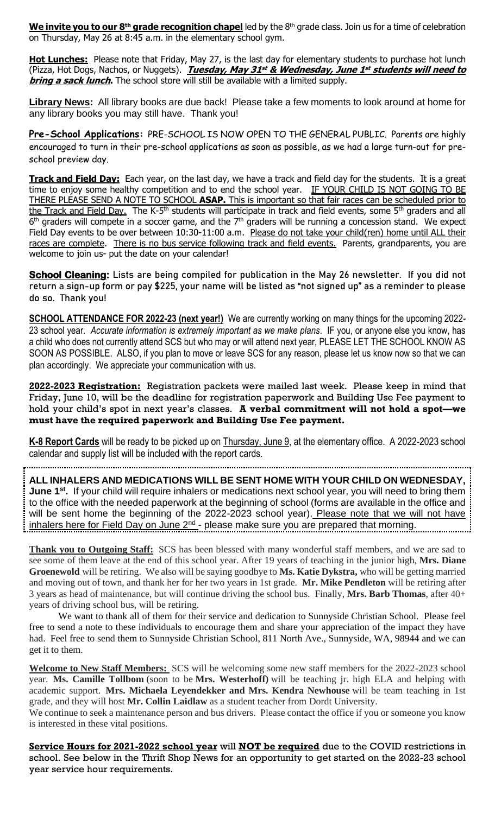**We invite you to our 8th grade recognition chapel** led by the 8 th grade class. Join us for a time of celebration on Thursday, May 26 at 8:45 a.m. in the elementary school gym.

**Hot Lunches:** Please note that Friday, May 27, is the last day for elementary students to purchase hot lunch (Pizza, Hot Dogs, Nachos, or Nuggets). **Tuesday, May 31 st & Wednesday, June 1 st students will need to bring a sack lunch**. The school store will still be available with a limited supply.

**Library News:** All library books are due back! Please take a few moments to look around at home for any library books you may still have. Thank you!

**Pre-School Applications:** PRE-SCHOOL IS NOW OPEN TO THE GENERAL PUBLIC. Parents are highly encouraged to turn in their pre-school applications as soon as possible, as we had a large turn-out for preschool preview day.

**Track and Field Day:** Each year, on the last day, we have a track and field day for the students. It is a great time to enjoy some healthy competition and to end the school year. IF YOUR CHILD IS NOT GOING TO BE THERE PLEASE SEND A NOTE TO SCHOOL **ASAP.** This is important so that fair races can be scheduled prior to the Track and Field Day. The K-5<sup>th</sup> students will participate in track and field events, some 5<sup>th</sup> graders and all  $6<sup>th</sup>$  graders will compete in a soccer game, and the  $7<sup>th</sup>$  graders will be running a concession stand. We expect Field Day events to be over between 10:30-11:00 a.m. Please do not take your child(ren) home until ALL their races are complete. There is no bus service following track and field events. Parents, grandparents, you are welcome to join us- put the date on your calendar!

**School Cleaning:** Lists are being compiled for publication in the May 26 newsletter. If you did not return a sign-up form or pay **\$225**, your name will be listed as "not signed up" as a reminder to please do so. Thank you!

**SCHOOL ATTENDANCE FOR 2022-23 (next year!)** We are currently working on many things for the upcoming 2022- 23 school year. *Accurate information is extremely important as we make plans*. IF you, or anyone else you know, has a child who does not currently attend SCS but who may or will attend next year, PLEASE LET THE SCHOOL KNOW AS SOON AS POSSIBLE. ALSO, if you plan to move or leave SCS for any reason, please let us know now so that we can plan accordingly. We appreciate your communication with us.

**2022-2023 Registration:** Registration packets were mailed last week. Please keep in mind that Friday, June 10, will be the deadline for registration paperwork and Building Use Fee payment to hold your child's spot in next year's classes. **A verbal commitment will not hold a spot—we must have the required paperwork and Building Use Fee payment.**

**K-8 Report Cards** will be ready to be picked up on Thursday, June 9, at the elementary office. A 2022-2023 school calendar and supply list will be included with the report cards.

**ALL INHALERS AND MEDICATIONS WILL BE SENT HOME WITH YOUR CHILD ON WEDNESDAY, June 1<sup>st</sup>**. If your child will require inhalers or medications next school year, you will need to bring them to the office with the needed paperwork at the beginning of school (forms are available in the office and will be sent home the beginning of the 2022-2023 school year). Please note that we will not have inhalers here for Field Day on June 2<sup>nd</sup> - please make sure you are prepared that morning.

**Thank you to Outgoing Staff:** SCS has been blessed with many wonderful staff members, and we are sad to see some of them leave at the end of this school year. After 19 years of teaching in the junior high, **Mrs. Diane Groenewold** will be retiring. We also will be saying goodbye to **Ms. Katie Dykstra,** who will be getting married and moving out of town, and thank her for her two years in 1st grade. **Mr. Mike Pendleton** will be retiring after 3 years as head of maintenance, but will continue driving the school bus. Finally, **Mrs. Barb Thomas**, after 40+ years of driving school bus, will be retiring.

 We want to thank all of them for their service and dedication to Sunnyside Christian School. Please feel free to send a note to these individuals to encourage them and share your appreciation of the impact they have had. Feel free to send them to Sunnyside Christian School, 811 North Ave., Sunnyside, WA, 98944 and we can get it to them.

**Welcome to New Staff Members:** SCS will be welcoming some new staff members for the 2022-2023 school year. **Ms. Camille Tollbom** (soon to be **Mrs. Westerhoff)** will be teaching jr. high ELA and helping with academic support. **Mrs. Michaela Leyendekker and Mrs. Kendra Newhouse** will be team teaching in 1st grade, and they will host **Mr. Collin Laidlaw** as a student teacher from Dordt University.

We continue to seek a maintenance person and bus drivers. Please contact the office if you or someone you know is interested in these vital positions.

**Service Hours for 2021-2022 school year** will **NOT be required** due to the COVID restrictions in school. See below in the Thrift Shop News for an opportunity to get started on the 2022-23 school year service hour requirements.